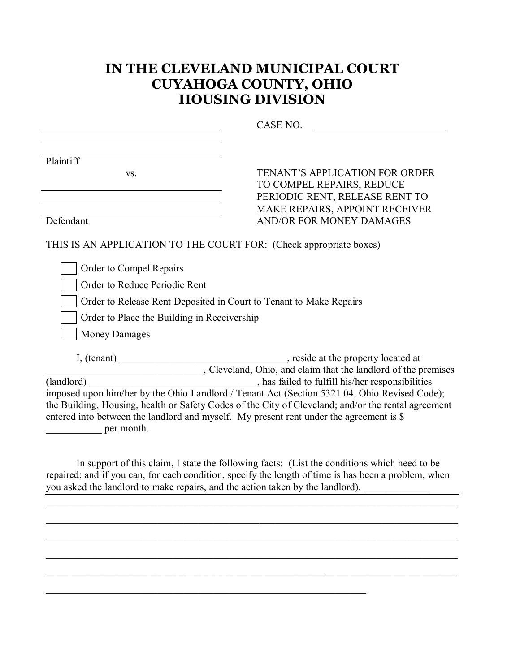## **IN THE CLEVELAND MUNICIPAL COURT CUYAHOGA COUNTY, OHIO HOUSING DIVISION**

|                                                                                                                                                                                                                                                                                                                                                             | CASE NO.                                                                                            |
|-------------------------------------------------------------------------------------------------------------------------------------------------------------------------------------------------------------------------------------------------------------------------------------------------------------------------------------------------------------|-----------------------------------------------------------------------------------------------------|
|                                                                                                                                                                                                                                                                                                                                                             |                                                                                                     |
| Plaintiff                                                                                                                                                                                                                                                                                                                                                   |                                                                                                     |
| VS.                                                                                                                                                                                                                                                                                                                                                         | <b>TENANT'S APPLICATION FOR ORDER</b>                                                               |
|                                                                                                                                                                                                                                                                                                                                                             | TO COMPEL REPAIRS, REDUCE                                                                           |
|                                                                                                                                                                                                                                                                                                                                                             | PERIODIC RENT, RELEASE RENT TO                                                                      |
|                                                                                                                                                                                                                                                                                                                                                             | MAKE REPAIRS, APPOINT RECEIVER                                                                      |
| Defendant                                                                                                                                                                                                                                                                                                                                                   | <b>AND/OR FOR MONEY DAMAGES</b>                                                                     |
| THIS IS AN APPLICATION TO THE COURT FOR: (Check appropriate boxes)                                                                                                                                                                                                                                                                                          |                                                                                                     |
| Order to Compel Repairs                                                                                                                                                                                                                                                                                                                                     |                                                                                                     |
| Order to Reduce Periodic Rent                                                                                                                                                                                                                                                                                                                               |                                                                                                     |
|                                                                                                                                                                                                                                                                                                                                                             | Order to Release Rent Deposited in Court to Tenant to Make Repairs                                  |
| Order to Place the Building in Receivership                                                                                                                                                                                                                                                                                                                 |                                                                                                     |
| <b>Money Damages</b>                                                                                                                                                                                                                                                                                                                                        |                                                                                                     |
|                                                                                                                                                                                                                                                                                                                                                             |                                                                                                     |
|                                                                                                                                                                                                                                                                                                                                                             | Cleveland, Ohio, and claim that the landlord of the premises                                        |
| (landlord)                                                                                                                                                                                                                                                                                                                                                  | has failed to fulfill his/her responsibilities                                                      |
|                                                                                                                                                                                                                                                                                                                                                             | imposed upon him/her by the Ohio Landlord / Tenant Act (Section 5321.04, Ohio Revised Code);        |
|                                                                                                                                                                                                                                                                                                                                                             | the Building, Housing, health or Safety Codes of the City of Cleveland; and/or the rental agreement |
|                                                                                                                                                                                                                                                                                                                                                             | entered into between the landlord and myself. My present rent under the agreement is \$             |
| per month.                                                                                                                                                                                                                                                                                                                                                  |                                                                                                     |
|                                                                                                                                                                                                                                                                                                                                                             |                                                                                                     |
| $\mathcal{L}$ $\mathcal{L}$ $\mathcal{L}$ $\mathcal{L}$ $\mathcal{L}$ $\mathcal{L}$ $\mathcal{L}$ $\mathcal{L}$ $\mathcal{L}$ $\mathcal{L}$ $\mathcal{L}$ $\mathcal{L}$ $\mathcal{L}$ $\mathcal{L}$ $\mathcal{L}$ $\mathcal{L}$ $\mathcal{L}$ $\mathcal{L}$ $\mathcal{L}$ $\mathcal{L}$ $\mathcal{L}$ $\mathcal{L}$ $\mathcal{L}$ $\mathcal{L}$ $\mathcal{$ | $\mathcal{C}$ and $\mathcal{T}$ and $\mathcal{C}$<br>11.11<br>$\cdots$ $\cdots$                     |

In support of this claim, I state the following facts: (List the conditions which need to be repaired; and if you can, for each condition, specify the length of time is has been a problem, when you asked the landlord to make repairs, and the action taken by the landlord).

\_\_\_\_\_\_\_\_\_\_\_\_\_\_\_\_\_\_\_\_\_\_\_\_\_\_\_\_\_\_\_\_\_\_\_\_\_\_\_\_\_\_\_\_\_\_\_\_\_\_\_\_\_\_\_\_\_\_\_\_\_\_\_\_\_\_\_\_\_\_\_\_\_\_\_\_\_\_\_\_\_

\_\_\_\_\_\_\_\_\_\_\_\_\_\_\_\_\_\_\_\_\_\_\_\_\_\_\_\_\_\_\_\_\_\_\_\_\_\_\_\_\_\_\_\_\_\_\_\_\_\_\_\_\_\_\_\_\_\_\_\_\_\_\_\_\_\_\_\_\_\_\_\_\_\_\_\_\_\_\_\_\_

\_\_\_\_\_\_\_\_\_\_\_\_\_\_\_\_\_\_\_\_\_\_\_\_\_\_\_\_\_\_\_\_\_\_\_\_\_\_\_\_\_\_\_\_\_\_\_\_\_\_\_\_\_\_\_\_\_\_\_\_\_\_\_\_\_\_\_\_\_\_\_\_\_\_\_\_\_\_\_\_\_

\_\_\_\_\_\_\_\_\_\_\_\_\_\_\_\_\_\_\_\_\_\_\_\_\_\_\_\_\_\_\_\_\_\_\_\_\_\_\_\_\_\_\_\_\_\_\_\_\_\_\_\_\_\_\_\_\_\_\_\_\_\_\_\_\_\_\_\_\_\_\_\_\_\_\_\_\_\_\_\_\_

\_\_\_\_\_\_\_\_\_\_\_\_\_\_\_\_\_\_\_\_\_\_\_\_\_\_\_\_\_\_\_\_\_\_\_\_\_\_\_\_\_\_\_\_\_\_\_\_\_\_\_\_\_\_\_\_\_\_\_\_\_\_\_\_\_\_\_\_\_\_\_\_\_\_\_\_\_\_\_\_\_

\_\_\_\_\_\_\_\_\_\_\_\_\_\_\_\_\_\_\_\_\_\_\_\_\_\_\_\_\_\_\_\_\_\_\_\_\_\_\_\_\_\_\_\_\_\_\_\_\_\_\_\_\_\_\_\_\_\_\_\_\_\_\_